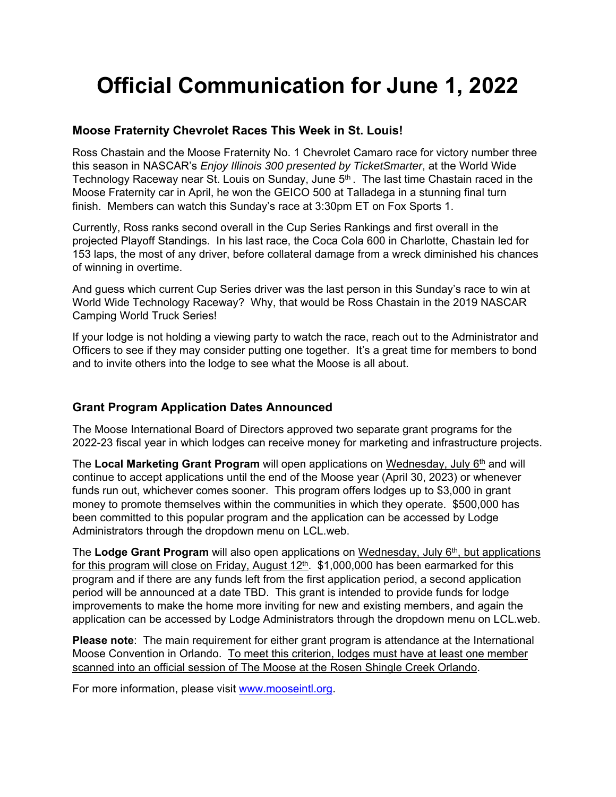# **Official Communication for June 1, 2022**

## **Moose Fraternity Chevrolet Races This Week in St. Louis!**

Ross Chastain and the Moose Fraternity No. 1 Chevrolet Camaro race for victory number three this season in NASCAR's *Enjoy Illinois 300 presented by TicketSmarter*, at the World Wide Technology Raceway near St. Louis on Sunday, June 5<sup>th</sup>. The last time Chastain raced in the Moose Fraternity car in April, he won the GEICO 500 at Talladega in a stunning final turn finish. Members can watch this Sunday's race at 3:30pm ET on Fox Sports 1.

Currently, Ross ranks second overall in the Cup Series Rankings and first overall in the projected Playoff Standings. In his last race, the Coca Cola 600 in Charlotte, Chastain led for 153 laps, the most of any driver, before collateral damage from a wreck diminished his chances of winning in overtime.

And guess which current Cup Series driver was the last person in this Sunday's race to win at World Wide Technology Raceway? Why, that would be Ross Chastain in the 2019 NASCAR Camping World Truck Series!

If your lodge is not holding a viewing party to watch the race, reach out to the Administrator and Officers to see if they may consider putting one together. It's a great time for members to bond and to invite others into the lodge to see what the Moose is all about.

# **Grant Program Application Dates Announced**

The Moose International Board of Directors approved two separate grant programs for the 2022-23 fiscal year in which lodges can receive money for marketing and infrastructure projects.

The **Local Marketing Grant Program** will open applications on Wednesday, July 6<sup>th</sup> and will continue to accept applications until the end of the Moose year (April 30, 2023) or whenever funds run out, whichever comes sooner. This program offers lodges up to \$3,000 in grant money to promote themselves within the communities in which they operate. \$500,000 has been committed to this popular program and the application can be accessed by Lodge Administrators through the dropdown menu on LCL.web.

The **Lodge Grant Program** will also open applications on Wednesday, July 6th, but applications for this program will close on Friday, August  $12<sup>th</sup>$ . \$1,000,000 has been earmarked for this program and if there are any funds left from the first application period, a second application period will be announced at a date TBD. This grant is intended to provide funds for lodge improvements to make the home more inviting for new and existing members, and again the application can be accessed by Lodge Administrators through the dropdown menu on LCL.web.

**Please note**: The main requirement for either grant program is attendance at the International Moose Convention in Orlando. To meet this criterion, lodges must have at least one member scanned into an official session of The Moose at the Rosen Shingle Creek Orlando.

For more information, please visit www.mooseintl.org.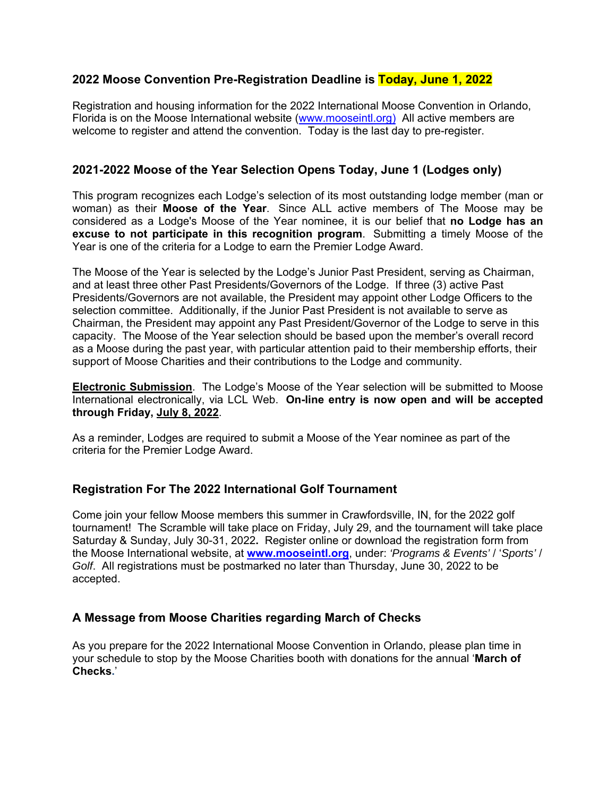### **2022 Moose Convention Pre-Registration Deadline is Today, June 1, 2022**

Registration and housing information for the 2022 International Moose Convention in Orlando, Florida is on the Moose International website (www.mooseintl.org) All active members are welcome to register and attend the convention. Today is the last day to pre-register.

## **2021-2022 Moose of the Year Selection Opens Today, June 1 (Lodges only)**

This program recognizes each Lodge's selection of its most outstanding lodge member (man or woman) as their **Moose of the Year**. Since ALL active members of The Moose may be considered as a Lodge's Moose of the Year nominee, it is our belief that **no Lodge has an excuse to not participate in this recognition program**. Submitting a timely Moose of the Year is one of the criteria for a Lodge to earn the Premier Lodge Award.

The Moose of the Year is selected by the Lodge's Junior Past President, serving as Chairman, and at least three other Past Presidents/Governors of the Lodge. If three (3) active Past Presidents/Governors are not available, the President may appoint other Lodge Officers to the selection committee. Additionally, if the Junior Past President is not available to serve as Chairman, the President may appoint any Past President/Governor of the Lodge to serve in this capacity. The Moose of the Year selection should be based upon the member's overall record as a Moose during the past year, with particular attention paid to their membership efforts, their support of Moose Charities and their contributions to the Lodge and community.

**Electronic Submission**. The Lodge's Moose of the Year selection will be submitted to Moose International electronically, via LCL Web. **On-line entry is now open and will be accepted through Friday, July 8, 2022**.

As a reminder, Lodges are required to submit a Moose of the Year nominee as part of the criteria for the Premier Lodge Award.

#### **Registration For The 2022 International Golf Tournament**

Come join your fellow Moose members this summer in Crawfordsville, IN, for the 2022 golf tournament! The Scramble will take place on Friday, July 29, and the tournament will take place Saturday & Sunday, July 30-31, 2022**.** Register online or download the registration form from the Moose International website, at **www.mooseintl.org**, under: *'Programs & Events'* / '*Sports'* / *Golf*. All registrations must be postmarked no later than Thursday, June 30, 2022 to be accepted.

#### **A Message from Moose Charities regarding March of Checks**

As you prepare for the 2022 International Moose Convention in Orlando, please plan time in your schedule to stop by the Moose Charities booth with donations for the annual '**March of Checks.**'